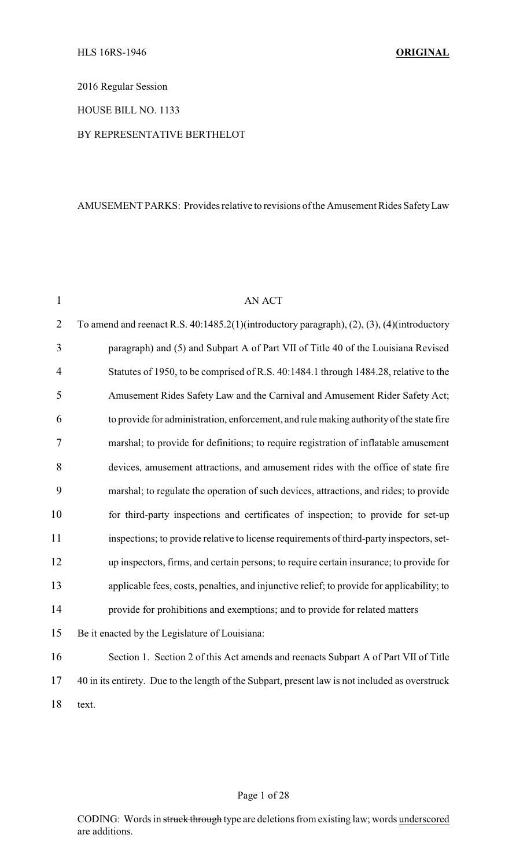2016 Regular Session

HOUSE BILL NO. 1133

#### BY REPRESENTATIVE BERTHELOT

#### AMUSEMENT PARKS: Provides relative to revisions of the Amusement Rides SafetyLaw

| $\mathbf{1}$   | AN ACT                                                                                          |
|----------------|-------------------------------------------------------------------------------------------------|
| $\overline{2}$ | To amend and reenact R.S. 40:1485.2(1)(introductory paragraph), (2), (3), (4)(introductory      |
| 3              | paragraph) and (5) and Subpart A of Part VII of Title 40 of the Louisiana Revised               |
| 4              | Statutes of 1950, to be comprised of R.S. 40:1484.1 through 1484.28, relative to the            |
| 5              | Amusement Rides Safety Law and the Carnival and Amusement Rider Safety Act;                     |
| 6              | to provide for administration, enforcement, and rule making authority of the state fire         |
| $\overline{7}$ | marshal; to provide for definitions; to require registration of inflatable amusement            |
| 8              | devices, amusement attractions, and amusement rides with the office of state fire               |
| 9              | marshal; to regulate the operation of such devices, attractions, and rides; to provide          |
| 10             | for third-party inspections and certificates of inspection; to provide for set-up               |
| 11             | inspections; to provide relative to license requirements of third-party inspectors, set-        |
| 12             | up inspectors, firms, and certain persons; to require certain insurance; to provide for         |
| 13             | applicable fees, costs, penalties, and injunctive relief; to provide for applicability; to      |
| 14             | provide for prohibitions and exemptions; and to provide for related matters                     |
| 15             | Be it enacted by the Legislature of Louisiana:                                                  |
| 16             | Section 1. Section 2 of this Act amends and reenacts Subpart A of Part VII of Title             |
| 17             | 40 in its entirety. Due to the length of the Subpart, present law is not included as overstruck |
| 18             | text.                                                                                           |

#### Page 1 of 28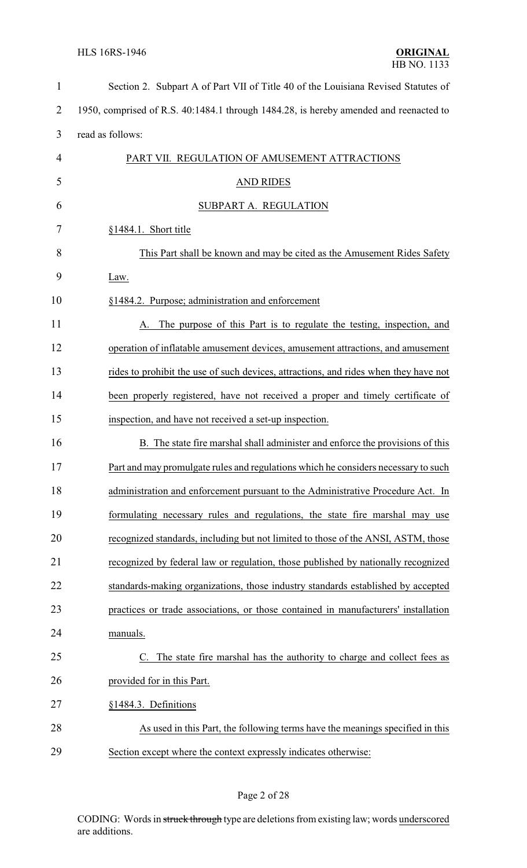| $\mathbf{1}$   | Section 2. Subpart A of Part VII of Title 40 of the Louisiana Revised Statutes of     |
|----------------|---------------------------------------------------------------------------------------|
| $\overline{2}$ | 1950, comprised of R.S. 40:1484.1 through 1484.28, is hereby amended and reenacted to |
| 3              | read as follows:                                                                      |
| $\overline{4}$ | PART VII. REGULATION OF AMUSEMENT ATTRACTIONS                                         |
| 5              | <b>AND RIDES</b>                                                                      |
| 6              | SUBPART A. REGULATION                                                                 |
| 7              | §1484.1. Short title                                                                  |
| 8              | This Part shall be known and may be cited as the Amusement Rides Safety               |
| 9              | Law.                                                                                  |
| 10             | §1484.2. Purpose; administration and enforcement                                      |
| 11             | A. The purpose of this Part is to regulate the testing, inspection, and               |
| 12             | operation of inflatable amusement devices, amusement attractions, and amusement       |
| 13             | rides to prohibit the use of such devices, attractions, and rides when they have not  |
| 14             | been properly registered, have not received a proper and timely certificate of        |
| 15             | inspection, and have not received a set-up inspection.                                |
| 16             | B. The state fire marshal shall administer and enforce the provisions of this         |
| 17             | Part and may promulgate rules and regulations which he considers necessary to such    |
| 18             | administration and enforcement pursuant to the Administrative Procedure Act. In       |
| 19             | formulating necessary rules and regulations, the state fire marshal may use           |
| 20             | recognized standards, including but not limited to those of the ANSI, ASTM, those     |
| 21             | recognized by federal law or regulation, those published by nationally recognized     |
| 22             | standards-making organizations, those industry standards established by accepted      |
| 23             | practices or trade associations, or those contained in manufacturers' installation    |
| 24             | manuals.                                                                              |
| 25             | C. The state fire marshal has the authority to charge and collect fees as             |
| 26             | provided for in this Part.                                                            |
| 27             | §1484.3. Definitions                                                                  |
| 28             | As used in this Part, the following terms have the meanings specified in this         |
| 29             | Section except where the context expressly indicates otherwise:                       |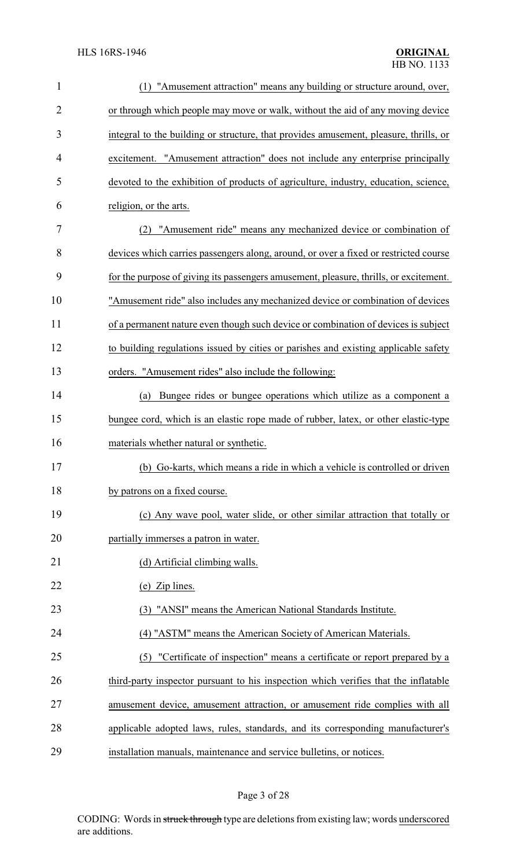| $\mathbf{1}$ | "Amusement attraction" means any building or structure around, over,                  |
|--------------|---------------------------------------------------------------------------------------|
| 2            | or through which people may move or walk, without the aid of any moving device        |
| 3            | integral to the building or structure, that provides amusement, pleasure, thrills, or |
| 4            | excitement. "Amusement attraction" does not include any enterprise principally        |
| 5            | devoted to the exhibition of products of agriculture, industry, education, science,   |
| 6            | religion, or the arts.                                                                |
| 7            | "Amusement ride" means any mechanized device or combination of<br>(2)                 |
| 8            | devices which carries passengers along, around, or over a fixed or restricted course  |
| 9            | for the purpose of giving its passengers amusement, pleasure, thrills, or excitement. |
| 10           | "Amusement ride" also includes any mechanized device or combination of devices        |
| 11           | of a permanent nature even though such device or combination of devices is subject    |
| 12           | to building regulations issued by cities or parishes and existing applicable safety   |
| 13           | orders. "Amusement rides" also include the following:                                 |
| 14           | Bungee rides or bungee operations which utilize as a component a<br>(a)               |
| 15           | bungee cord, which is an elastic rope made of rubber, latex, or other elastic-type    |
| 16           | materials whether natural or synthetic.                                               |
| 17           | (b) Go-karts, which means a ride in which a vehicle is controlled or driven           |
| 18           | by patrons on a fixed course.                                                         |
| 19           | (c) Any wave pool, water slide, or other similar attraction that totally or           |
| 20           | partially immerses a patron in water.                                                 |
| 21           | (d) Artificial climbing walls.                                                        |
| 22           | (e) Zip lines.                                                                        |
| 23           | (3) "ANSI" means the American National Standards Institute.                           |
| 24           | (4) "ASTM" means the American Society of American Materials.                          |
| 25           | (5) "Certificate of inspection" means a certificate or report prepared by a           |
| 26           | third-party inspector pursuant to his inspection which verifies that the inflatable   |
| 27           | amusement device, amusement attraction, or amusement ride complies with all           |
| 28           | applicable adopted laws, rules, standards, and its corresponding manufacturer's       |
| 29           | installation manuals, maintenance and service bulletins, or notices.                  |

# Page 3 of 28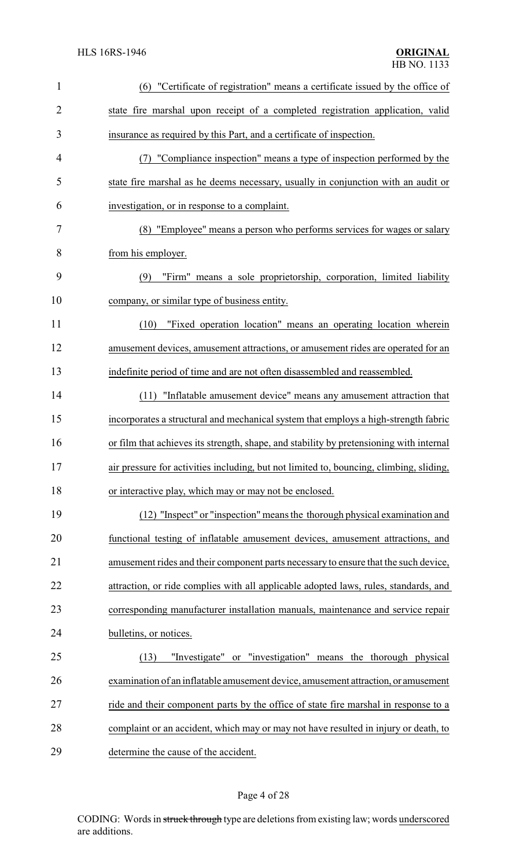| $\mathbf{1}$   | (6) "Certificate of registration" means a certificate issued by the office of           |
|----------------|-----------------------------------------------------------------------------------------|
| $\overline{2}$ | state fire marshal upon receipt of a completed registration application, valid          |
| 3              | insurance as required by this Part, and a certificate of inspection.                    |
| 4              | (7) "Compliance inspection" means a type of inspection performed by the                 |
| 5              | state fire marshal as he deems necessary, usually in conjunction with an audit or       |
| 6              | investigation, or in response to a complaint.                                           |
| 7              | (8) "Employee" means a person who performs services for wages or salary                 |
| 8              | from his employer.                                                                      |
| 9              | "Firm" means a sole proprietorship, corporation, limited liability<br>(9)               |
| 10             | company, or similar type of business entity.                                            |
| 11             | "Fixed operation location" means an operating location wherein<br>(10)                  |
| 12             | amusement devices, amusement attractions, or amusement rides are operated for an        |
| 13             | indefinite period of time and are not often disassembled and reassembled.               |
| 14             | (11) "Inflatable amusement device" means any amusement attraction that                  |
| 15             | incorporates a structural and mechanical system that employs a high-strength fabric     |
| 16             | or film that achieves its strength, shape, and stability by pretensioning with internal |
| 17             | air pressure for activities including, but not limited to, bouncing, climbing, sliding, |
| 18             | or interactive play, which may or may not be enclosed.                                  |
| 19             | (12) "Inspect" or "inspection" means the thorough physical examination and              |
| 20             | functional testing of inflatable amusement devices, amusement attractions, and          |
| 21             | amusement rides and their component parts necessary to ensure that the such device,     |
| 22             | attraction, or ride complies with all applicable adopted laws, rules, standards, and    |
| 23             | corresponding manufacturer installation manuals, maintenance and service repair         |
| 24             | bulletins, or notices.                                                                  |
| 25             | or "investigation" means the thorough physical<br>(13)<br>"Investigate"                 |
| 26             | examination of an inflatable amusement device, amusement attraction, or amusement       |
| 27             | ride and their component parts by the office of state fire marshal in response to a     |
| 28             | complaint or an accident, which may or may not have resulted in injury or death, to     |
| 29             | determine the cause of the accident.                                                    |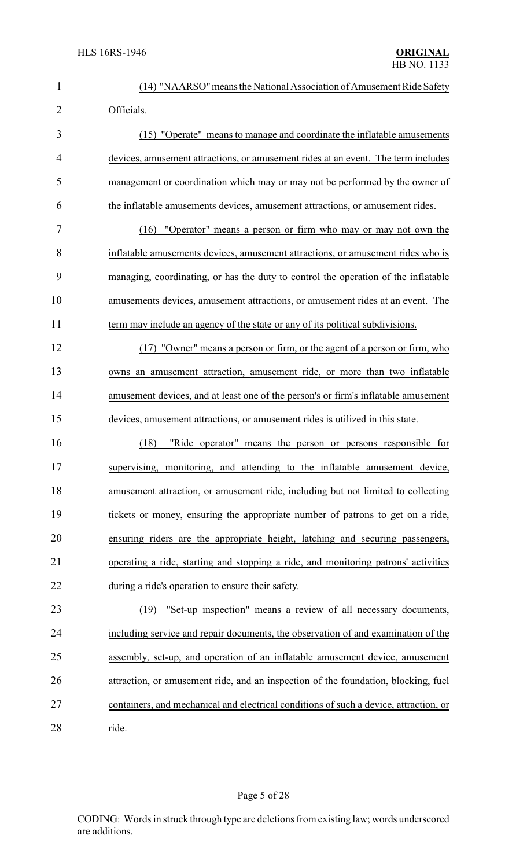| $\mathbf{1}$   | (14) "NAARSO" means the National Association of Amusement Ride Safety                 |
|----------------|---------------------------------------------------------------------------------------|
| $\overline{2}$ | Officials.                                                                            |
| 3              | (15) "Operate" means to manage and coordinate the inflatable amusements               |
| 4              | devices, amusement attractions, or amusement rides at an event. The term includes     |
| 5              | management or coordination which may or may not be performed by the owner of          |
| 6              | the inflatable amusements devices, amusement attractions, or amusement rides.         |
| 7              | (16) "Operator" means a person or firm who may or may not own the                     |
| 8              | inflatable amusements devices, amusement attractions, or amusement rides who is       |
| 9              | managing, coordinating, or has the duty to control the operation of the inflatable    |
| 10             | amusements devices, amusement attractions, or amusement rides at an event. The        |
| 11             | term may include an agency of the state or any of its political subdivisions.         |
| 12             | (17) "Owner" means a person or firm, or the agent of a person or firm, who            |
| 13             | owns an amusement attraction, amusement ride, or more than two inflatable             |
| 14             | amusement devices, and at least one of the person's or firm's inflatable amusement    |
| 15             | devices, amusement attractions, or amusement rides is utilized in this state.         |
| 16             | (18)<br>"Ride operator" means the person or persons responsible for                   |
| 17             | supervising, monitoring, and attending to the inflatable amusement device,            |
| 18             | amusement attraction, or amusement ride, including but not limited to collecting      |
| 19             | tickets or money, ensuring the appropriate number of patrons to get on a ride,        |
| 20             | ensuring riders are the appropriate height, latching and securing passengers,         |
| 21             | operating a ride, starting and stopping a ride, and monitoring patrons' activities    |
| 22             | during a ride's operation to ensure their safety.                                     |
| 23             | (19) "Set-up inspection" means a review of all necessary documents,                   |
| 24             | including service and repair documents, the observation of and examination of the     |
| 25             | assembly, set-up, and operation of an inflatable amusement device, amusement          |
| 26             | attraction, or amusement ride, and an inspection of the foundation, blocking, fuel    |
| 27             | containers, and mechanical and electrical conditions of such a device, attraction, or |
| 28             | ride.                                                                                 |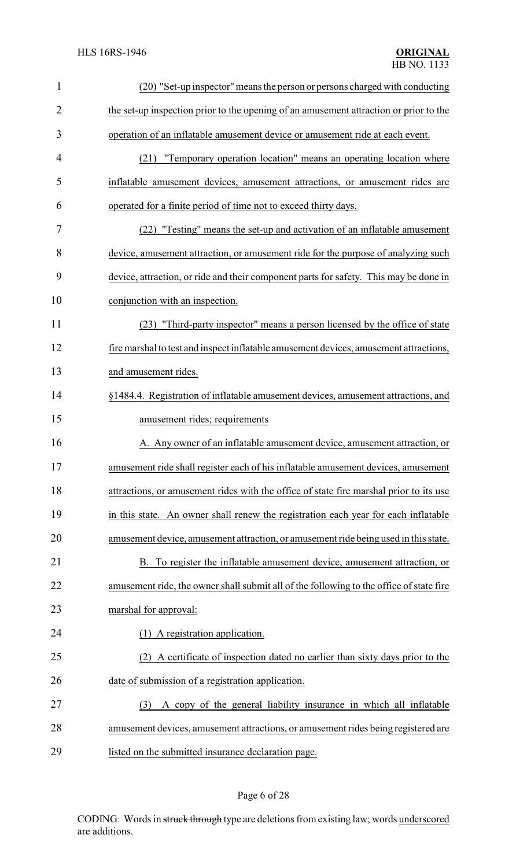| $\mathbf{1}$   | (20) "Set-up inspector" means the person or persons charged with conducting             |
|----------------|-----------------------------------------------------------------------------------------|
| $\overline{2}$ | the set-up inspection prior to the opening of an amusement attraction or prior to the   |
| 3              | operation of an inflatable amusement device or amusement ride at each event.            |
| 4              | "Temporary operation location" means an operating location where<br>(21)                |
| 5              | inflatable amusement devices, amusement attractions, or amusement rides are             |
| 6              | operated for a finite period of time not to exceed thirty days.                         |
| 7              | (22) "Testing" means the set-up and activation of an inflatable amusement               |
| 8              | device, amusement attraction, or amusement ride for the purpose of analyzing such       |
| 9              | device, attraction, or ride and their component parts for safety. This may be done in   |
| 10             | conjunction with an inspection.                                                         |
| 11             | (23) "Third-party inspector" means a person licensed by the office of state             |
| 12             | fire marshal to test and inspect inflatable amusement devices, amusement attractions,   |
| 13             | and amusement rides.                                                                    |
| 14             | §1484.4. Registration of inflatable amusement devices, amusement attractions, and       |
| 15             | amusement rides; requirements                                                           |
| 16             | A. Any owner of an inflatable amusement device, amusement attraction, or                |
| 17             | amusement ride shall register each of his inflatable amusement devices, amusement       |
| 18             | attractions, or amusement rides with the office of state fire marshal prior to its use  |
| 19             | in this state. An owner shall renew the registration each year for each inflatable      |
| 20             | amusement device, amusement attraction, or amusement ride being used in this state.     |
| 21             | To register the inflatable amusement device, amusement attraction, or<br>B.             |
| 22             | amusement ride, the owner shall submit all of the following to the office of state fire |
| 23             | marshal for approval:                                                                   |
| 24             | (1) A registration application.                                                         |
| 25             | A certificate of inspection dated no earlier than sixty days prior to the<br>(2)        |
| 26             | date of submission of a registration application.                                       |
| 27             | A copy of the general liability insurance in which all inflatable<br>(3)                |
| 28             | amusement devices, amusement attractions, or amusement rides being registered are       |
| 29             | listed on the submitted insurance declaration page.                                     |

# Page 6 of 28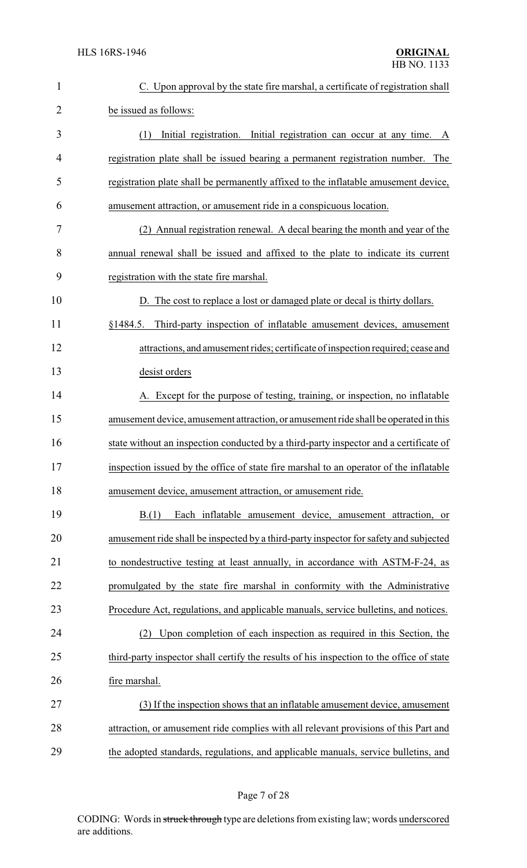| $\mathbf{1}$   | C. Upon approval by the state fire marshal, a certificate of registration shall          |
|----------------|------------------------------------------------------------------------------------------|
| $\overline{2}$ | be issued as follows:                                                                    |
| 3              | (1)<br>Initial registration. Initial registration can occur at any time. A               |
| 4              | registration plate shall be issued bearing a permanent registration number. The          |
| 5              | registration plate shall be permanently affixed to the inflatable amusement device,      |
| 6              | amusement attraction, or amusement ride in a conspicuous location.                       |
| 7              | (2) Annual registration renewal. A decal bearing the month and year of the               |
| 8              | annual renewal shall be issued and affixed to the plate to indicate its current          |
| 9              | registration with the state fire marshal.                                                |
| 10             | D. The cost to replace a lost or damaged plate or decal is thirty dollars.               |
| 11             | Third-party inspection of inflatable amusement devices, amusement<br>§1484.5.            |
| 12             | attractions, and amusement rides; certificate of inspection required; cease and          |
| 13             | desist orders                                                                            |
| 14             | A. Except for the purpose of testing, training, or inspection, no inflatable             |
| 15             | amusement device, amusement attraction, or amusement ride shall be operated in this      |
| 16             | state without an inspection conducted by a third-party inspector and a certificate of    |
| 17             | inspection issued by the office of state fire marshal to an operator of the inflatable   |
| 18             | amusement device, amusement attraction, or amusement ride.                               |
| 19             | Each inflatable amusement device, amusement attraction, or<br>B(1)                       |
| 20             | amusement ride shall be inspected by a third-party inspector for safety and subjected    |
| 21             | to nondestructive testing at least annually, in accordance with ASTM-F-24, as            |
| 22             | promulgated by the state fire marshal in conformity with the Administrative              |
| 23             | Procedure Act, regulations, and applicable manuals, service bulletins, and notices.      |
| 24             | Upon completion of each inspection as required in this Section, the<br>(2)               |
| 25             | third-party inspector shall certify the results of his inspection to the office of state |
| 26             | fire marshal.                                                                            |
| 27             | (3) If the inspection shows that an inflatable amusement device, amusement               |
| 28             | attraction, or amusement ride complies with all relevant provisions of this Part and     |
| 29             | the adopted standards, regulations, and applicable manuals, service bulletins, and       |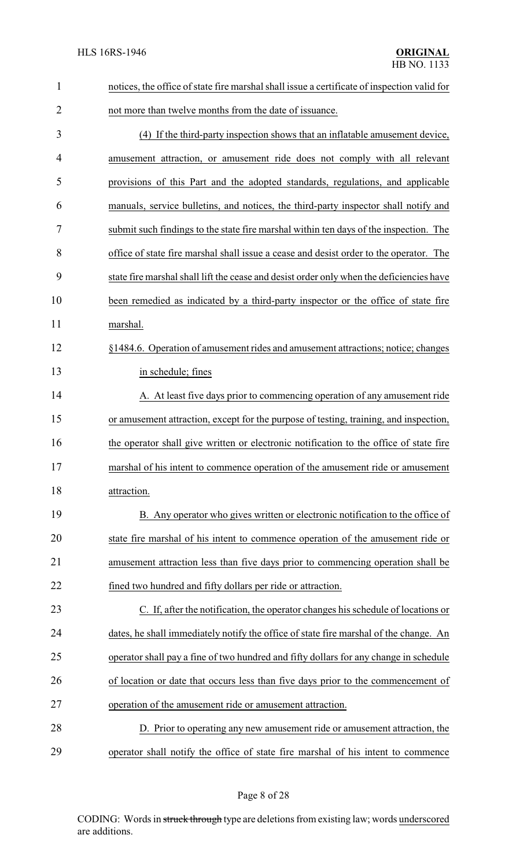| $\mathbf{1}$ | notices, the office of state fire marshal shall issue a certificate of inspection valid for |
|--------------|---------------------------------------------------------------------------------------------|
| 2            | not more than twelve months from the date of issuance.                                      |
| 3            | (4) If the third-party inspection shows that an inflatable amusement device,                |
| 4            | amusement attraction, or amusement ride does not comply with all relevant                   |
| 5            | provisions of this Part and the adopted standards, regulations, and applicable              |
| 6            | manuals, service bulletins, and notices, the third-party inspector shall notify and         |
| 7            | submit such findings to the state fire marshal within ten days of the inspection. The       |
| 8            | office of state fire marshal shall issue a cease and desist order to the operator. The      |
| 9            | state fire marshal shall lift the cease and desist order only when the deficiencies have    |
| 10           | been remedied as indicated by a third-party inspector or the office of state fire           |
| 11           | marshal.                                                                                    |
| 12           | §1484.6. Operation of amusement rides and amusement attractions; notice; changes            |
| 13           | in schedule; fines                                                                          |
| 14           | A. At least five days prior to commencing operation of any amusement ride                   |
| 15           | or amusement attraction, except for the purpose of testing, training, and inspection,       |
| 16           | the operator shall give written or electronic notification to the office of state fire      |
| 17           | marshal of his intent to commence operation of the amusement ride or amusement              |
| 18           | attraction.                                                                                 |
| 19           | B. Any operator who gives written or electronic notification to the office of               |
| 20           | state fire marshal of his intent to commence operation of the amusement ride or             |
| 21           | amusement attraction less than five days prior to commencing operation shall be             |
| 22           | fined two hundred and fifty dollars per ride or attraction.                                 |
| 23           | C. If, after the notification, the operator changes his schedule of locations or            |
| 24           | dates, he shall immediately notify the office of state fire marshal of the change. An       |
| 25           | operator shall pay a fine of two hundred and fifty dollars for any change in schedule       |
| 26           | of location or date that occurs less than five days prior to the commencement of            |
| 27           | operation of the amusement ride or amusement attraction.                                    |
| 28           | D. Prior to operating any new amusement ride or amusement attraction, the                   |
| 29           | operator shall notify the office of state fire marshal of his intent to commence            |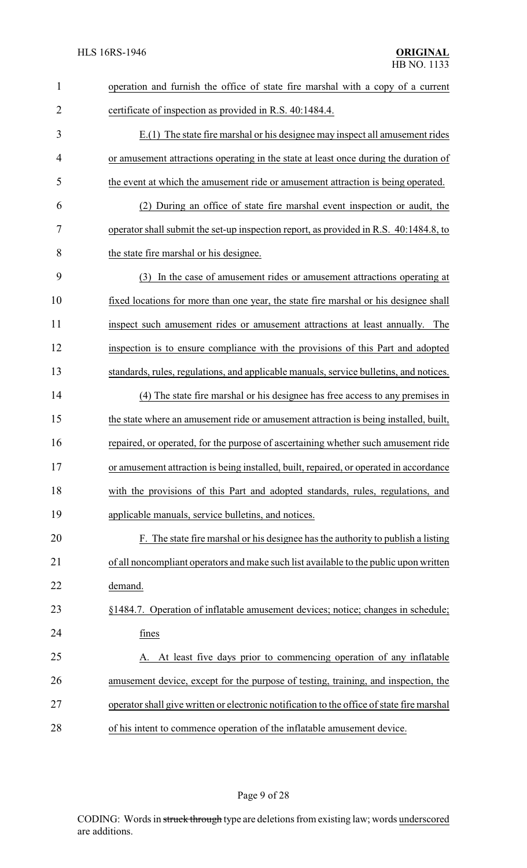| $\mathbf{1}$   | operation and furnish the office of state fire marshal with a copy of a current            |
|----------------|--------------------------------------------------------------------------------------------|
| $\overline{2}$ | certificate of inspection as provided in R.S. 40:1484.4.                                   |
| 3              | E.(1) The state fire marshal or his designee may inspect all amusement rides               |
| 4              | or amusement attractions operating in the state at least once during the duration of       |
| 5              | the event at which the amusement ride or amusement attraction is being operated.           |
| 6              | (2) During an office of state fire marshal event inspection or audit, the                  |
| 7              | operator shall submit the set-up inspection report, as provided in R.S. 40:1484.8, to      |
| 8              | the state fire marshal or his designee.                                                    |
| 9              | (3) In the case of amusement rides or amusement attractions operating at                   |
| 10             | fixed locations for more than one year, the state fire marshal or his designee shall       |
| 11             | inspect such amusement rides or amusement attractions at least annually. The               |
| 12             | inspection is to ensure compliance with the provisions of this Part and adopted            |
| 13             | standards, rules, regulations, and applicable manuals, service bulletins, and notices.     |
| 14             | (4) The state fire marshal or his designee has free access to any premises in              |
| 15             | the state where an amusement ride or amusement attraction is being installed, built,       |
| 16             | repaired, or operated, for the purpose of ascertaining whether such amusement ride         |
| 17             | or amusement attraction is being installed, built, repaired, or operated in accordance     |
| 18             | with the provisions of this Part and adopted standards, rules, regulations, and            |
| 19             | applicable manuals, service bulletins, and notices.                                        |
| 20             | F. The state fire marshal or his designee has the authority to publish a listing           |
| 21             | of all noncompliant operators and make such list available to the public upon written      |
| 22             | demand.                                                                                    |
| 23             | §1484.7. Operation of inflatable amusement devices; notice; changes in schedule;           |
| 24             | fines                                                                                      |
| 25             | At least five days prior to commencing operation of any inflatable<br>A.                   |
| 26             | amusement device, except for the purpose of testing, training, and inspection, the         |
| 27             | operator shall give written or electronic notification to the office of state fire marshal |
| 28             | of his intent to commence operation of the inflatable amusement device.                    |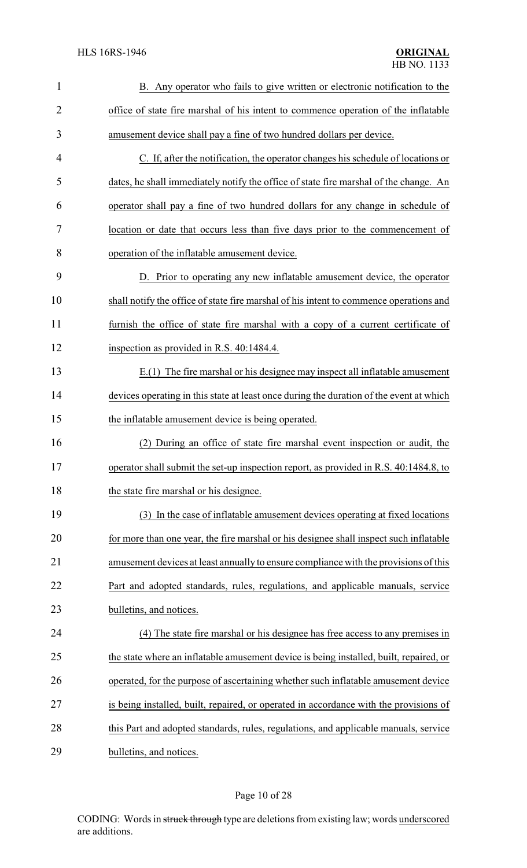| $\mathbf{1}$   | B. Any operator who fails to give written or electronic notification to the             |
|----------------|-----------------------------------------------------------------------------------------|
| $\overline{2}$ | office of state fire marshal of his intent to commence operation of the inflatable      |
| 3              | amusement device shall pay a fine of two hundred dollars per device.                    |
| 4              | C. If, after the notification, the operator changes his schedule of locations or        |
| 5              | dates, he shall immediately notify the office of state fire marshal of the change. An   |
| 6              | operator shall pay a fine of two hundred dollars for any change in schedule of          |
| 7              | location or date that occurs less than five days prior to the commencement of           |
| 8              | operation of the inflatable amusement device.                                           |
| 9              | D. Prior to operating any new inflatable amusement device, the operator                 |
| 10             | shall notify the office of state fire marshal of his intent to commence operations and  |
| 11             | furnish the office of state fire marshal with a copy of a current certificate of        |
| 12             | inspection as provided in R.S. 40:1484.4.                                               |
| 13             | E.(1) The fire marshal or his designee may inspect all inflatable amusement             |
| 14             | devices operating in this state at least once during the duration of the event at which |
| 15             | the inflatable amusement device is being operated.                                      |
| 16             | (2) During an office of state fire marshal event inspection or audit, the               |
| 17             | operator shall submit the set-up inspection report, as provided in R.S. 40:1484.8, to   |
| 18             | the state fire marshal or his designee.                                                 |
| 19             | (3) In the case of inflatable amusement devices operating at fixed locations            |
| 20             | for more than one year, the fire marshal or his designee shall inspect such inflatable  |
| 21             | amusement devices at least annually to ensure compliance with the provisions of this    |
| 22             | Part and adopted standards, rules, regulations, and applicable manuals, service         |
| 23             | bulletins, and notices.                                                                 |
| 24             | (4) The state fire marshal or his designee has free access to any premises in           |
| 25             | the state where an inflatable amusement device is being installed, built, repaired, or  |
| 26             | operated, for the purpose of ascertaining whether such inflatable amusement device      |
| 27             | is being installed, built, repaired, or operated in accordance with the provisions of   |
| 28             | this Part and adopted standards, rules, regulations, and applicable manuals, service    |
| 29             | bulletins, and notices.                                                                 |

# Page 10 of 28

CODING: Words in struck through type are deletions from existing law; words underscored are additions.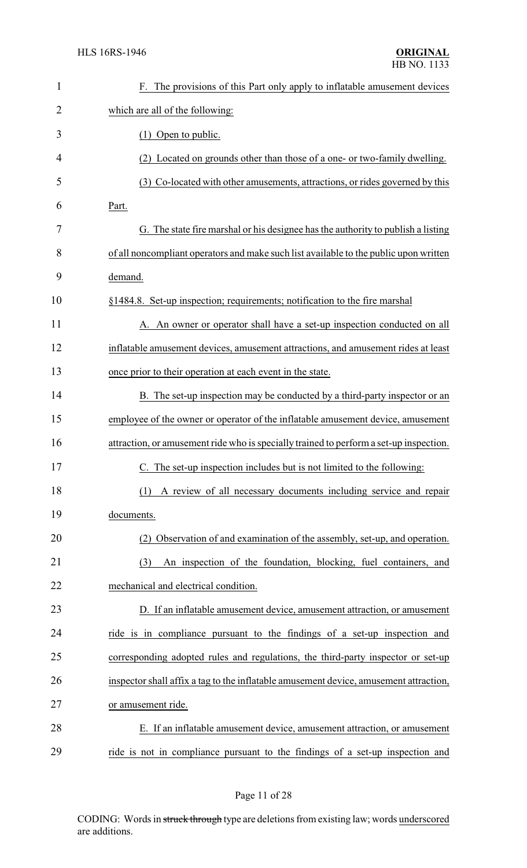| $\mathbf{1}$ | F. The provisions of this Part only apply to inflatable amusement devices              |
|--------------|----------------------------------------------------------------------------------------|
| 2            | which are all of the following:                                                        |
| 3            | $(1)$ Open to public.                                                                  |
| 4            | (2) Located on grounds other than those of a one- or two-family dwelling.              |
| 5            | (3) Co-located with other amusements, attractions, or rides governed by this           |
| 6            | Part.                                                                                  |
| 7            | G. The state fire marshal or his designee has the authority to publish a listing       |
| 8            | of all noncompliant operators and make such list available to the public upon written  |
| 9            | demand.                                                                                |
| 10           | §1484.8. Set-up inspection; requirements; notification to the fire marshal             |
| 11           | A. An owner or operator shall have a set-up inspection conducted on all                |
| 12           | inflatable amusement devices, amusement attractions, and amusement rides at least      |
| 13           | once prior to their operation at each event in the state.                              |
| 14           | B. The set-up inspection may be conducted by a third-party inspector or an             |
| 15           | employee of the owner or operator of the inflatable amusement device, amusement        |
| 16           | attraction, or amusement ride who is specially trained to perform a set-up inspection. |
| 17           | C. The set-up inspection includes but is not limited to the following:                 |
| 18           | A review of all necessary documents including service and repair<br>(1)                |
| 19           | documents.                                                                             |
| 20           | (2) Observation of and examination of the assembly, set-up, and operation.             |
| 21           | An inspection of the foundation, blocking, fuel containers, and<br>(3)                 |
| 22           | mechanical and electrical condition.                                                   |
| 23           | D. If an inflatable amusement device, amusement attraction, or amusement               |
| 24           | ride is in compliance pursuant to the findings of a set-up inspection and              |
| 25           | corresponding adopted rules and regulations, the third-party inspector or set-up       |
| 26           | inspector shall affix a tag to the inflatable amusement device, amusement attraction,  |
| 27           | or amusement ride.                                                                     |
| 28           | E. If an inflatable amusement device, amusement attraction, or amusement               |
| 29           | ride is not in compliance pursuant to the findings of a set-up inspection and          |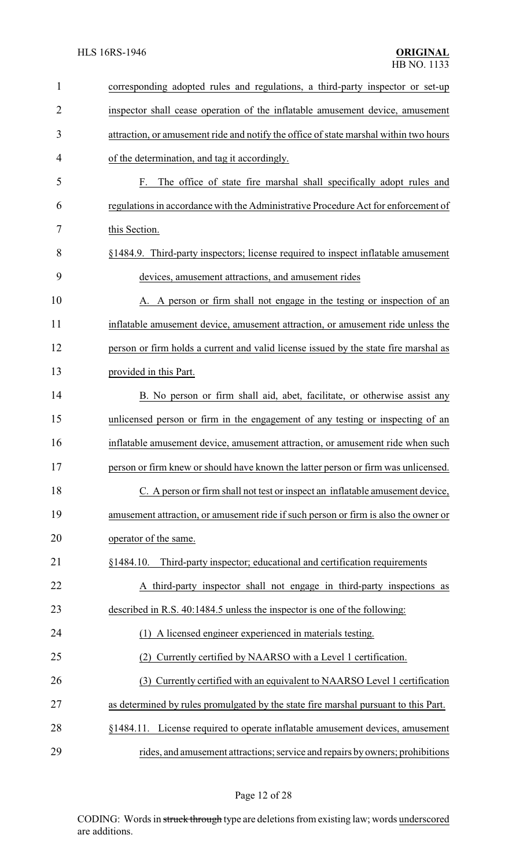| 1              | corresponding adopted rules and regulations, a third-party inspector or set-up        |
|----------------|---------------------------------------------------------------------------------------|
| $\overline{2}$ | inspector shall cease operation of the inflatable amusement device, amusement         |
| 3              | attraction, or amusement ride and notify the office of state marshal within two hours |
| 4              | of the determination, and tag it accordingly.                                         |
| 5              | The office of state fire marshal shall specifically adopt rules and<br>F.             |
| 6              | regulations in accordance with the Administrative Procedure Act for enforcement of    |
| 7              | this Section.                                                                         |
| 8              | §1484.9. Third-party inspectors; license required to inspect inflatable amusement     |
| 9              | devices, amusement attractions, and amusement rides                                   |
| 10             | A. A person or firm shall not engage in the testing or inspection of an               |
| 11             | inflatable amusement device, amusement attraction, or amusement ride unless the       |
| 12             | person or firm holds a current and valid license issued by the state fire marshal as  |
| 13             | provided in this Part.                                                                |
| 14             | B. No person or firm shall aid, abet, facilitate, or otherwise assist any             |
| 15             | unlicensed person or firm in the engagement of any testing or inspecting of an        |
| 16             | inflatable amusement device, amusement attraction, or amusement ride when such        |
| 17             | person or firm knew or should have known the latter person or firm was unlicensed.    |
| 18             | C. A person or firm shall not test or inspect an inflatable amusement device,         |
| 19             | amusement attraction, or amusement ride if such person or firm is also the owner or   |
| 20             | operator of the same.                                                                 |
| 21             | Third-party inspector; educational and certification requirements<br>§1484.10.        |
| 22             | A third-party inspector shall not engage in third-party inspections as                |
| 23             | described in R.S. 40:1484.5 unless the inspector is one of the following:             |
| 24             | (1) A licensed engineer experienced in materials testing.                             |
| 25             | Currently certified by NAARSO with a Level 1 certification.<br>(2)                    |
| 26             | (3) Currently certified with an equivalent to NAARSO Level 1 certification            |
| 27             | as determined by rules promulgated by the state fire marshal pursuant to this Part.   |
| 28             | §1484.11. License required to operate inflatable amusement devices, amusement         |
| 29             | rides, and amusement attractions; service and repairs by owners; prohibitions         |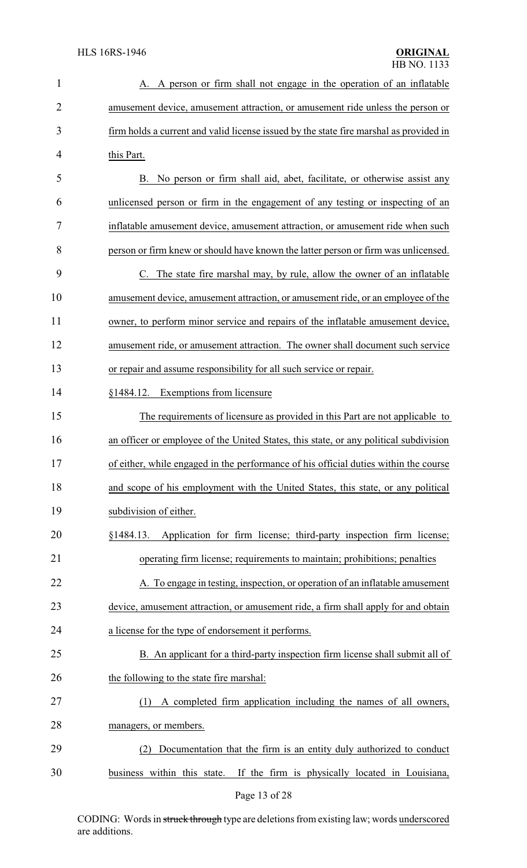| $\mathbf{1}$   | A. A person or firm shall not engage in the operation of an inflatable                 |
|----------------|----------------------------------------------------------------------------------------|
| $\overline{2}$ | amusement device, amusement attraction, or amusement ride unless the person or         |
| 3              | firm holds a current and valid license issued by the state fire marshal as provided in |
| $\overline{4}$ | this Part.                                                                             |
| 5              | B. No person or firm shall aid, abet, facilitate, or otherwise assist any              |
| 6              | unlicensed person or firm in the engagement of any testing or inspecting of an         |
| 7              | inflatable amusement device, amusement attraction, or amusement ride when such         |
| 8              | person or firm knew or should have known the latter person or firm was unlicensed.     |
| 9              | The state fire marshal may, by rule, allow the owner of an inflatable                  |
| 10             | amusement device, amusement attraction, or amusement ride, or an employee of the       |
| 11             | owner, to perform minor service and repairs of the inflatable amusement device,        |
| 12             | amusement ride, or amusement attraction. The owner shall document such service         |
| 13             | or repair and assume responsibility for all such service or repair.                    |
| 14             | <b>Exemptions from licensure</b><br>§1484.12.                                          |
| 15             | The requirements of licensure as provided in this Part are not applicable to           |
| 16             | an officer or employee of the United States, this state, or any political subdivision  |
| 17             | of either, while engaged in the performance of his official duties within the course   |
| 18             | and scope of his employment with the United States, this state, or any political       |
| 19             | subdivision of either.                                                                 |
| 20             | §1484.13. Application for firm license; third-party inspection firm license;           |
| 21             | operating firm license; requirements to maintain; prohibitions; penalties              |
| 22             | A. To engage in testing, inspection, or operation of an inflatable amusement           |
| 23             | device, amusement attraction, or amusement ride, a firm shall apply for and obtain     |
| 24             | a license for the type of endorsement it performs.                                     |
| 25             | B. An applicant for a third-party inspection firm license shall submit all of          |
| 26             | the following to the state fire marshal:                                               |
| 27             | A completed firm application including the names of all owners,<br>(1)                 |
| 28             | managers, or members.                                                                  |
| 29             | Documentation that the firm is an entity duly authorized to conduct<br>(2)             |
| 30             | business within this state. If the firm is physically located in Louisiana,            |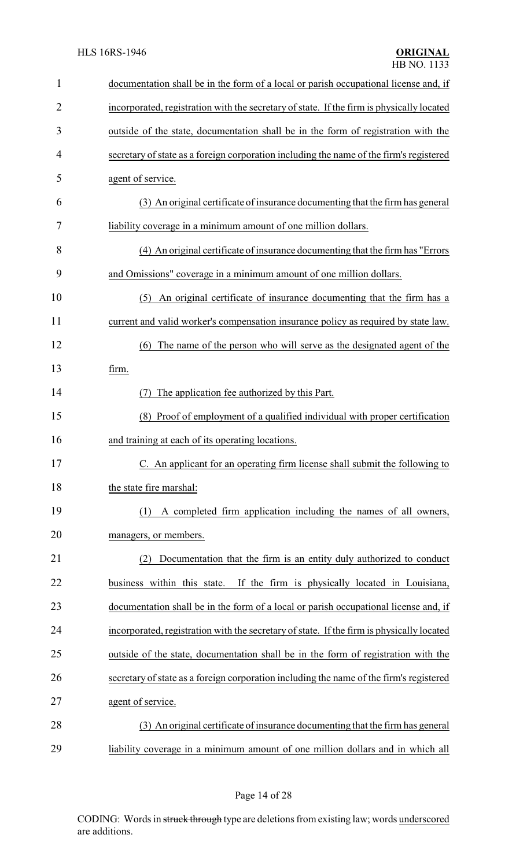| $\mathbf{1}$   | documentation shall be in the form of a local or parish occupational license and, if      |
|----------------|-------------------------------------------------------------------------------------------|
| $\overline{2}$ | incorporated, registration with the secretary of state. If the firm is physically located |
| 3              | outside of the state, documentation shall be in the form of registration with the         |
| 4              | secretary of state as a foreign corporation including the name of the firm's registered   |
| 5              | agent of service.                                                                         |
| 6              | (3) An original certificate of insurance documenting that the firm has general            |
| 7              | liability coverage in a minimum amount of one million dollars.                            |
| 8              | (4) An original certificate of insurance documenting that the firm has "Errors"           |
| 9              | and Omissions" coverage in a minimum amount of one million dollars.                       |
| 10             | An original certificate of insurance documenting that the firm has a<br>(5)               |
| 11             | current and valid worker's compensation insurance policy as required by state law.        |
| 12             | The name of the person who will serve as the designated agent of the<br>(6)               |
| 13             | firm.                                                                                     |
| 14             | The application fee authorized by this Part.<br>(7)                                       |
| 15             | Proof of employment of a qualified individual with proper certification<br>(8)            |
| 16             | and training at each of its operating locations.                                          |
| 17             | C. An applicant for an operating firm license shall submit the following to               |
| 18             | the state fire marshal:                                                                   |
| 19             | A completed firm application including the names of all owners,<br>(1)                    |
| 20             | managers, or members.                                                                     |
| 21             | Documentation that the firm is an entity duly authorized to conduct<br>(2)                |
| 22             | business within this state.<br>If the firm is physically located in Louisiana,            |
| 23             | documentation shall be in the form of a local or parish occupational license and, if      |
| 24             | incorporated, registration with the secretary of state. If the firm is physically located |
| 25             | outside of the state, documentation shall be in the form of registration with the         |
| 26             | secretary of state as a foreign corporation including the name of the firm's registered   |
| 27             | agent of service.                                                                         |
| 28             | (3) An original certificate of insurance documenting that the firm has general            |
| 29             | liability coverage in a minimum amount of one million dollars and in which all            |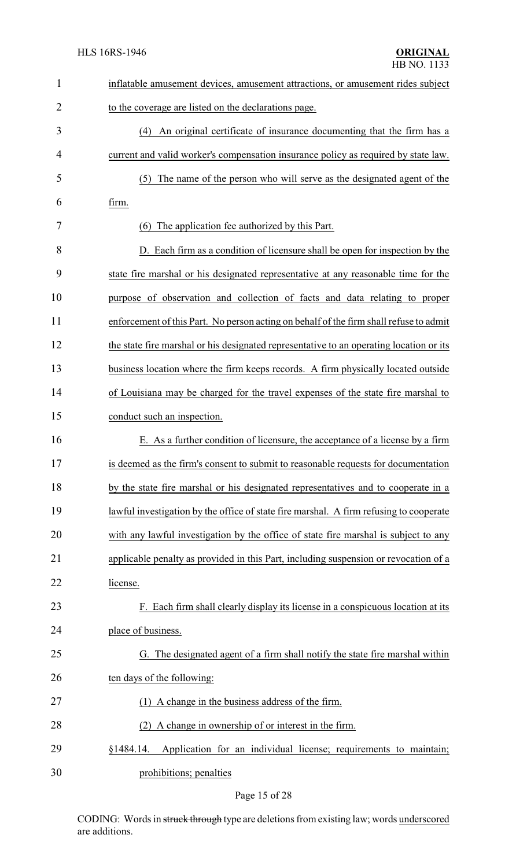| $\mathbf{1}$   | inflatable amusement devices, amusement attractions, or amusement rides subject         |
|----------------|-----------------------------------------------------------------------------------------|
| $\overline{2}$ | to the coverage are listed on the declarations page.                                    |
| 3              | (4) An original certificate of insurance documenting that the firm has a                |
| 4              | current and valid worker's compensation insurance policy as required by state law.      |
| 5              | The name of the person who will serve as the designated agent of the<br>(5)             |
| 6              | firm.                                                                                   |
| 7              | The application fee authorized by this Part.<br>(6)                                     |
| 8              | D. Each firm as a condition of licensure shall be open for inspection by the            |
| 9              | state fire marshal or his designated representative at any reasonable time for the      |
| 10             | purpose of observation and collection of facts and data relating to proper              |
| 11             | enforcement of this Part. No person acting on behalf of the firm shall refuse to admit  |
| 12             | the state fire marshal or his designated representative to an operating location or its |
| 13             | business location where the firm keeps records. A firm physically located outside       |
| 14             | of Louisiana may be charged for the travel expenses of the state fire marshal to        |
| 15             | conduct such an inspection.                                                             |
| 16             | E. As a further condition of licensure, the acceptance of a license by a firm           |
| 17             | is deemed as the firm's consent to submit to reasonable requests for documentation      |
| 18             | by the state fire marshal or his designated representatives and to cooperate in a       |
| 19             | lawful investigation by the office of state fire marshal. A firm refusing to cooperate  |
| 20             | with any lawful investigation by the office of state fire marshal is subject to any     |
| 21             | applicable penalty as provided in this Part, including suspension or revocation of a    |
| 22             | license.                                                                                |
| 23             | F. Each firm shall clearly display its license in a conspicuous location at its         |
| 24             | place of business.                                                                      |
| 25             | G. The designated agent of a firm shall notify the state fire marshal within            |
| 26             | ten days of the following:                                                              |
| 27             | (1) A change in the business address of the firm.                                       |
| 28             | (2) A change in ownership of or interest in the firm.                                   |
| 29             | Application for an individual license; requirements to maintain;<br>§1484.14.           |
| 30             | prohibitions; penalties                                                                 |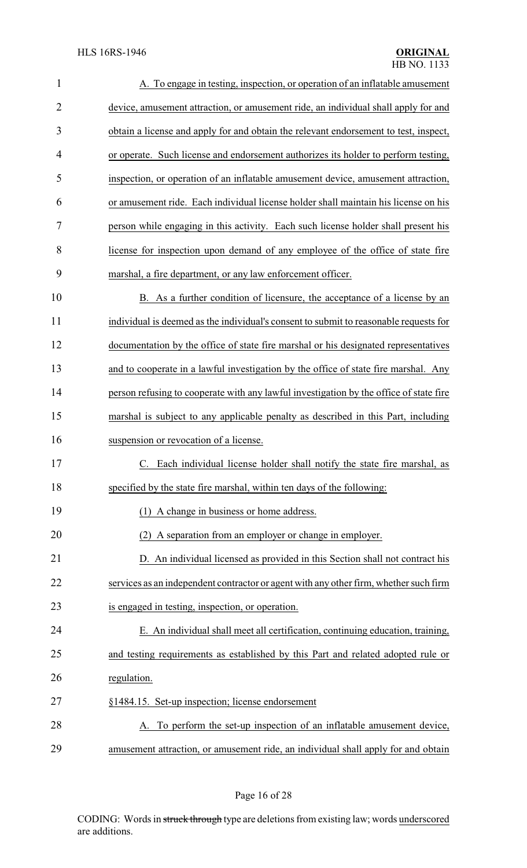| $\mathbf{1}$   | A. To engage in testing, inspection, or operation of an inflatable amusement           |
|----------------|----------------------------------------------------------------------------------------|
| $\overline{2}$ | device, amusement attraction, or amusement ride, an individual shall apply for and     |
| 3              | obtain a license and apply for and obtain the relevant endorsement to test, inspect,   |
| $\overline{4}$ | or operate. Such license and endorsement authorizes its holder to perform testing,     |
| 5              | inspection, or operation of an inflatable amusement device, amusement attraction,      |
| 6              | or amusement ride. Each individual license holder shall maintain his license on his    |
| 7              | person while engaging in this activity. Each such license holder shall present his     |
| 8              | license for inspection upon demand of any employee of the office of state fire         |
| 9              | marshal, a fire department, or any law enforcement officer.                            |
| 10             | B. As a further condition of licensure, the acceptance of a license by an              |
| 11             | individual is deemed as the individual's consent to submit to reasonable requests for  |
| 12             | documentation by the office of state fire marshal or his designated representatives    |
| 13             | and to cooperate in a lawful investigation by the office of state fire marshal. Any    |
| 14             | person refusing to cooperate with any lawful investigation by the office of state fire |
| 15             | marshal is subject to any applicable penalty as described in this Part, including      |
| 16             | suspension or revocation of a license.                                                 |
| 17             | C. Each individual license holder shall notify the state fire marshal, as              |
| 18             | specified by the state fire marshal, within ten days of the following:                 |
| 19             | (1) A change in business or home address.                                              |
| 20             | (2) A separation from an employer or change in employer.                               |
| 21             | D. An individual licensed as provided in this Section shall not contract his           |
| 22             | services as an independent contractor or agent with any other firm, whether such firm  |
| 23             | is engaged in testing, inspection, or operation.                                       |
| 24             | E. An individual shall meet all certification, continuing education, training,         |
| 25             | and testing requirements as established by this Part and related adopted rule or       |
| 26             | regulation.                                                                            |
| 27             | §1484.15. Set-up inspection; license endorsement                                       |
| 28             | A. To perform the set-up inspection of an inflatable amusement device,                 |
| 29             | amusement attraction, or amusement ride, an individual shall apply for and obtain      |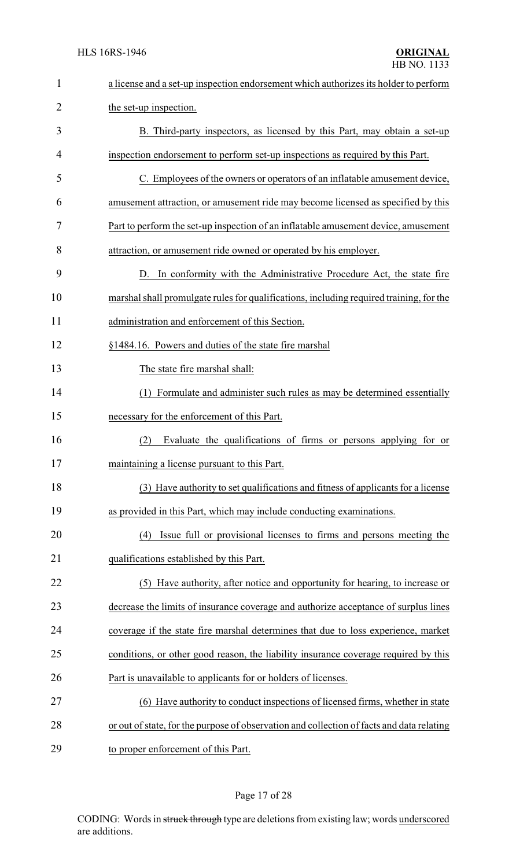| $\mathbf{1}$   | a license and a set-up inspection endorsement which authorizes its holder to perform      |
|----------------|-------------------------------------------------------------------------------------------|
| $\overline{2}$ | the set-up inspection.                                                                    |
| 3              | B. Third-party inspectors, as licensed by this Part, may obtain a set-up                  |
| 4              | inspection endorsement to perform set-up inspections as required by this Part.            |
| 5              | C. Employees of the owners or operators of an inflatable amusement device,                |
| 6              | amusement attraction, or amusement ride may become licensed as specified by this          |
| 7              | Part to perform the set-up inspection of an inflatable amusement device, amusement        |
| 8              | attraction, or amusement ride owned or operated by his employer.                          |
| 9              | D. In conformity with the Administrative Procedure Act, the state fire                    |
| 10             | marshal shall promulgate rules for qualifications, including required training, for the   |
| 11             | administration and enforcement of this Section.                                           |
| 12             | §1484.16. Powers and duties of the state fire marshal                                     |
| 13             | The state fire marshal shall:                                                             |
| 14             | (1) Formulate and administer such rules as may be determined essentially                  |
| 15             | necessary for the enforcement of this Part.                                               |
| 16             | (2)<br>Evaluate the qualifications of firms or persons applying for or                    |
| 17             | maintaining a license pursuant to this Part.                                              |
| 18             | (3) Have authority to set qualifications and fitness of applicants for a license          |
| 19             | as provided in this Part, which may include conducting examinations.                      |
| 20             | Issue full or provisional licenses to firms and persons meeting the<br>(4)                |
| 21             | qualifications established by this Part.                                                  |
| 22             | (5) Have authority, after notice and opportunity for hearing, to increase or              |
| 23             | decrease the limits of insurance coverage and authorize acceptance of surplus lines       |
| 24             | coverage if the state fire marshal determines that due to loss experience, market         |
| 25             | conditions, or other good reason, the liability insurance coverage required by this       |
| 26             | Part is unavailable to applicants for or holders of licenses.                             |
| 27             | (6) Have authority to conduct inspections of licensed firms, whether in state             |
| 28             | or out of state, for the purpose of observation and collection of facts and data relating |
| 29             | to proper enforcement of this Part.                                                       |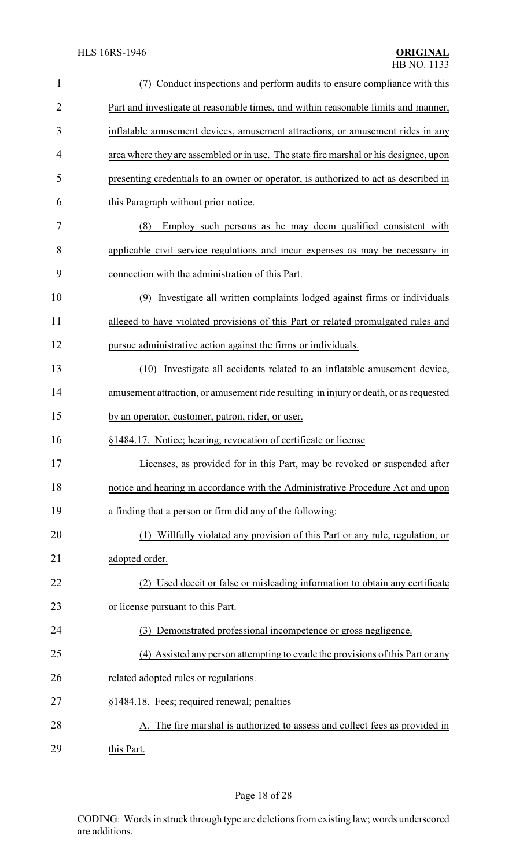| $\mathbf{1}$   | (7) Conduct inspections and perform audits to ensure compliance with this             |
|----------------|---------------------------------------------------------------------------------------|
| $\overline{2}$ | Part and investigate at reasonable times, and within reasonable limits and manner,    |
| 3              | inflatable amusement devices, amusement attractions, or amusement rides in any        |
| 4              | area where they are assembled or in use. The state fire marshal or his designee, upon |
| 5              | presenting credentials to an owner or operator, is authorized to act as described in  |
| 6              | this Paragraph without prior notice.                                                  |
| 7              | Employ such persons as he may deem qualified consistent with<br>(8)                   |
| 8              | applicable civil service regulations and incur expenses as may be necessary in        |
| 9              | connection with the administration of this Part.                                      |
| 10             | (9) Investigate all written complaints lodged against firms or individuals            |
| 11             | alleged to have violated provisions of this Part or related promulgated rules and     |
| 12             | pursue administrative action against the firms or individuals.                        |
| 13             | (10) Investigate all accidents related to an inflatable amusement device,             |
| 14             | amusement attraction, or amusement ride resulting in injury or death, or as requested |
| 15             | by an operator, customer, patron, rider, or user.                                     |
| 16             | §1484.17. Notice; hearing; revocation of certificate or license                       |
| 17             | Licenses, as provided for in this Part, may be revoked or suspended after             |
| 18             | notice and hearing in accordance with the Administrative Procedure Act and upon       |
| 19             | a finding that a person or firm did any of the following:                             |
| 20             | (1) Willfully violated any provision of this Part or any rule, regulation, or         |
| 21             | adopted order.                                                                        |
| 22             | (2) Used deceit or false or misleading information to obtain any certificate          |
| 23             | or license pursuant to this Part.                                                     |
| 24             | (3) Demonstrated professional incompetence or gross negligence.                       |
| 25             | (4) Assisted any person attempting to evade the provisions of this Part or any        |
| 26             | related adopted rules or regulations.                                                 |
| 27             | §1484.18. Fees; required renewal; penalties                                           |
| 28             | A. The fire marshal is authorized to assess and collect fees as provided in           |
| 29             | this Part.                                                                            |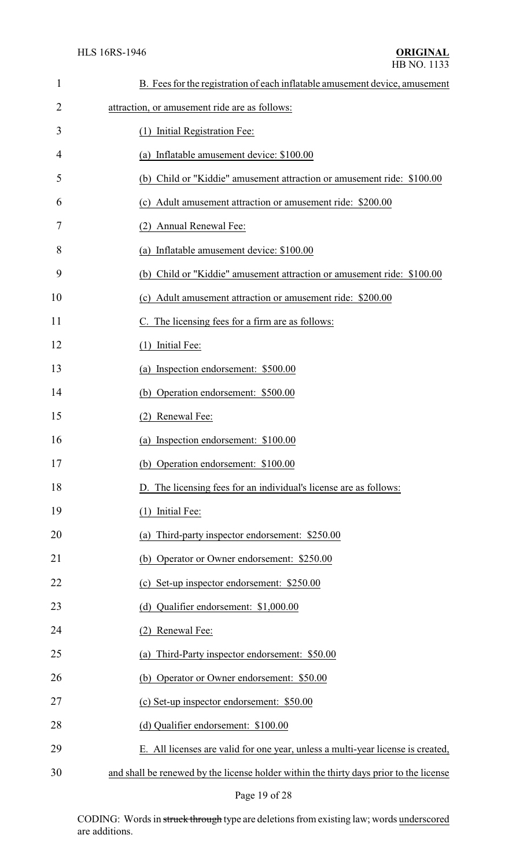| $\mathbf{1}$ | B. Fees for the registration of each inflatable amusement device, amusement            |
|--------------|----------------------------------------------------------------------------------------|
| 2            | attraction, or amusement ride are as follows:                                          |
| 3            | (1) Initial Registration Fee:                                                          |
| 4            | (a) Inflatable amusement device: \$100.00                                              |
| 5            | (b) Child or "Kiddie" amusement attraction or amusement ride: \$100.00                 |
| 6            | (c) Adult amusement attraction or amusement ride: \$200.00                             |
| 7            | (2) Annual Renewal Fee:                                                                |
| 8            | (a) Inflatable amusement device: \$100.00                                              |
| 9            | (b) Child or "Kiddie" amusement attraction or amusement ride: \$100.00                 |
| 10           | (c) Adult amusement attraction or amusement ride: \$200.00                             |
| 11           | C. The licensing fees for a firm are as follows:                                       |
| 12           | Initial Fee:<br>(1)                                                                    |
| 13           | (a) Inspection endorsement: \$500.00                                                   |
| 14           | (b) Operation endorsement: \$500.00                                                    |
| 15           | Renewal Fee:<br>(2)                                                                    |
| 16           | (a) Inspection endorsement: \$100.00                                                   |
| 17           | (b) Operation endorsement: \$100.00                                                    |
| 18           | D. The licensing fees for an individual's license are as follows:                      |
| 19           | (1) Initial Fee:                                                                       |
| 20           | (a) Third-party inspector endorsement: \$250.00                                        |
| 21           | (b) Operator or Owner endorsement: \$250.00                                            |
| 22           | (c) Set-up inspector endorsement: \$250.00                                             |
| 23           | (d) Qualifier endorsement: \$1,000.00                                                  |
| 24           | Renewal Fee:<br>(2)                                                                    |
| 25           | Third-Party inspector endorsement: \$50.00<br>(a)                                      |
| 26           | (b) Operator or Owner endorsement: \$50.00                                             |
| 27           | (c) Set-up inspector endorsement: \$50.00                                              |
| 28           | (d) Qualifier endorsement: \$100.00                                                    |
| 29           | E. All licenses are valid for one year, unless a multi-year license is created,        |
| 30           | and shall be renewed by the license holder within the thirty days prior to the license |

Page 19 of 28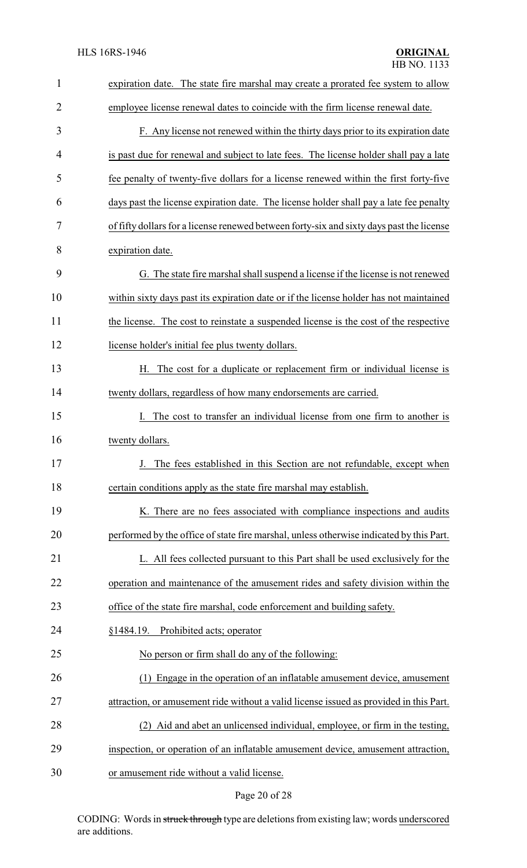| $\mathbf{1}$ | expiration date. The state fire marshal may create a prorated fee system to allow        |
|--------------|------------------------------------------------------------------------------------------|
| 2            | employee license renewal dates to coincide with the firm license renewal date.           |
| 3            | F. Any license not renewed within the thirty days prior to its expiration date           |
| 4            | is past due for renewal and subject to late fees. The license holder shall pay a late    |
| 5            | fee penalty of twenty-five dollars for a license renewed within the first forty-five     |
| 6            | days past the license expiration date. The license holder shall pay a late fee penalty   |
| 7            | of fifty dollars for a license renewed between forty-six and sixty days past the license |
| 8            | expiration date.                                                                         |
| 9            | G. The state fire marshal shall suspend a license if the license is not renewed          |
| 10           | within sixty days past its expiration date or if the license holder has not maintained   |
| 11           | the license. The cost to reinstate a suspended license is the cost of the respective     |
| 12           | license holder's initial fee plus twenty dollars.                                        |
| 13           | H. The cost for a duplicate or replacement firm or individual license is                 |
| 14           | twenty dollars, regardless of how many endorsements are carried.                         |
| 15           | The cost to transfer an individual license from one firm to another is                   |
| 16           | twenty dollars.                                                                          |
| 17           | The fees established in this Section are not refundable, except when                     |
| 18           | certain conditions apply as the state fire marshal may establish.                        |
| 19           | K. There are no fees associated with compliance inspections and audits                   |
| 20           | performed by the office of state fire marshal, unless otherwise indicated by this Part.  |
| 21           | L. All fees collected pursuant to this Part shall be used exclusively for the            |
| 22           | operation and maintenance of the amusement rides and safety division within the          |
| 23           | office of the state fire marshal, code enforcement and building safety.                  |
| 24           | Prohibited acts; operator<br>§1484.19.                                                   |
| 25           | No person or firm shall do any of the following:                                         |
| 26           | Engage in the operation of an inflatable amusement device, amusement                     |
| 27           | attraction, or amusement ride without a valid license issued as provided in this Part.   |
| 28           | (2) Aid and abet an unlicensed individual, employee, or firm in the testing,             |
| 29           | inspection, or operation of an inflatable amusement device, amusement attraction,        |
| 30           | or amusement ride without a valid license.                                               |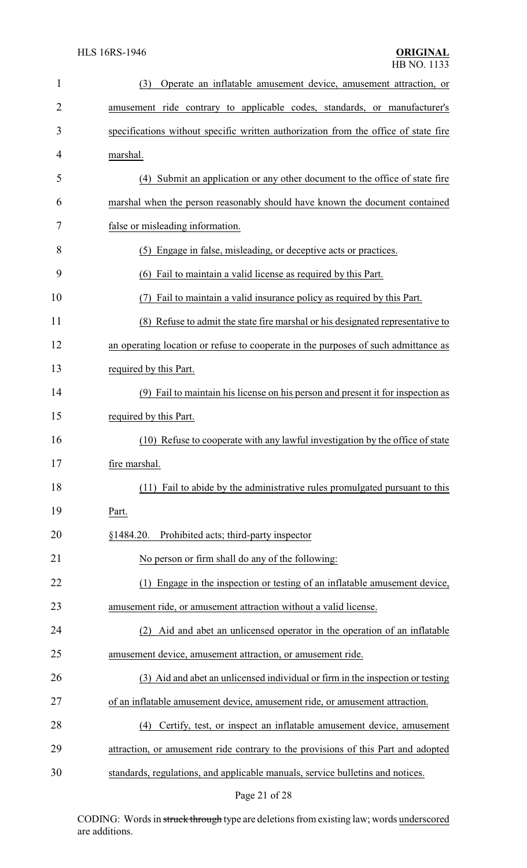| $\mathbf{1}$   | Operate an inflatable amusement device, amusement attraction, or<br>(3)             |
|----------------|-------------------------------------------------------------------------------------|
| $\overline{2}$ | amusement ride contrary to applicable codes, standards, or manufacturer's           |
| 3              | specifications without specific written authorization from the office of state fire |
| 4              | marshal.                                                                            |
| 5              | (4) Submit an application or any other document to the office of state fire         |
| 6              | marshal when the person reasonably should have known the document contained         |
| 7              | false or misleading information.                                                    |
| 8              | (5) Engage in false, misleading, or deceptive acts or practices.                    |
| 9              | (6) Fail to maintain a valid license as required by this Part.                      |
| 10             | Fail to maintain a valid insurance policy as required by this Part.                 |
| 11             | (8) Refuse to admit the state fire marshal or his designated representative to      |
| 12             | an operating location or refuse to cooperate in the purposes of such admittance as  |
| 13             | required by this Part.                                                              |
| 14             | (9) Fail to maintain his license on his person and present it for inspection as     |
| 15             | required by this Part.                                                              |
| 16             | (10) Refuse to cooperate with any lawful investigation by the office of state       |
| 17             | fire marshal.                                                                       |
| 18             | (11) Fail to abide by the administrative rules promulgated pursuant to this         |
| 19             | Part.                                                                               |
| 20             | Prohibited acts; third-party inspector<br>§1484.20.                                 |
| 21             | No person or firm shall do any of the following:                                    |
| 22             | Engage in the inspection or testing of an inflatable amusement device,<br>(1)       |
| 23             | amusement ride, or amusement attraction without a valid license.                    |
| 24             | Aid and abet an unlicensed operator in the operation of an inflatable<br>(2)        |
| 25             | amusement device, amusement attraction, or amusement ride.                          |
| 26             | (3) Aid and abet an unlicensed individual or firm in the inspection or testing      |
| 27             | of an inflatable amusement device, amusement ride, or amusement attraction.         |
| 28             | Certify, test, or inspect an inflatable amusement device, amusement<br>(4)          |
| 29             | attraction, or amusement ride contrary to the provisions of this Part and adopted   |
| 30             | standards, regulations, and applicable manuals, service bulletins and notices.      |

Page 21 of 28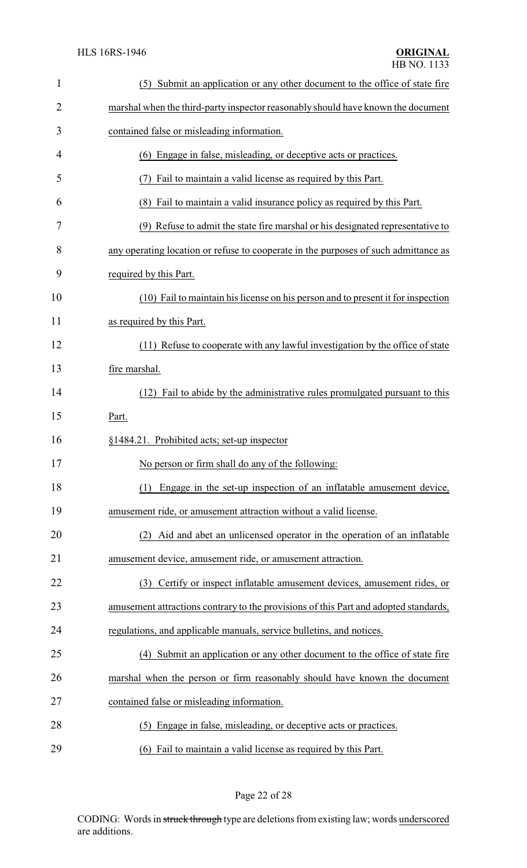| $\mathbf{1}$ | (5) Submit an application or any other document to the office of state fire          |
|--------------|--------------------------------------------------------------------------------------|
| 2            | marshal when the third-party inspector reasonably should have known the document     |
| 3            | contained false or misleading information.                                           |
| 4            | (6) Engage in false, misleading, or deceptive acts or practices.                     |
| 5            | Fail to maintain a valid license as required by this Part.                           |
| 6            | (8) Fail to maintain a valid insurance policy as required by this Part.              |
| 7            | (9) Refuse to admit the state fire marshal or his designated representative to       |
| 8            | any operating location or refuse to cooperate in the purposes of such admittance as  |
| 9            | required by this Part.                                                               |
| 10           | (10) Fail to maintain his license on his person and to present it for inspection     |
| 11           | as required by this Part.                                                            |
| 12           | (11) Refuse to cooperate with any lawful investigation by the office of state        |
| 13           | fire marshal.                                                                        |
| 14           | (12) Fail to abide by the administrative rules promulgated pursuant to this          |
| 15           | Part.                                                                                |
| 16           | §1484.21. Prohibited acts; set-up inspector                                          |
| 17           | No person or firm shall do any of the following:                                     |
| 18           | Engage in the set-up inspection of an inflatable amusement device,<br>(1)            |
| 19           | amusement ride, or amusement attraction without a valid license.                     |
| 20           | Aid and abet an unlicensed operator in the operation of an inflatable<br>(2)         |
| 21           | amusement device, amusement ride, or amusement attraction.                           |
| 22           | Certify or inspect inflatable amusement devices, amusement rides, or<br>(3)          |
| 23           | amusement attractions contrary to the provisions of this Part and adopted standards, |
| 24           | regulations, and applicable manuals, service bulletins, and notices.                 |
| 25           | (4) Submit an application or any other document to the office of state fire          |
| 26           | marshal when the person or firm reasonably should have known the document            |
| 27           | contained false or misleading information.                                           |
| 28           |                                                                                      |
|              | (5) Engage in false, misleading, or deceptive acts or practices.                     |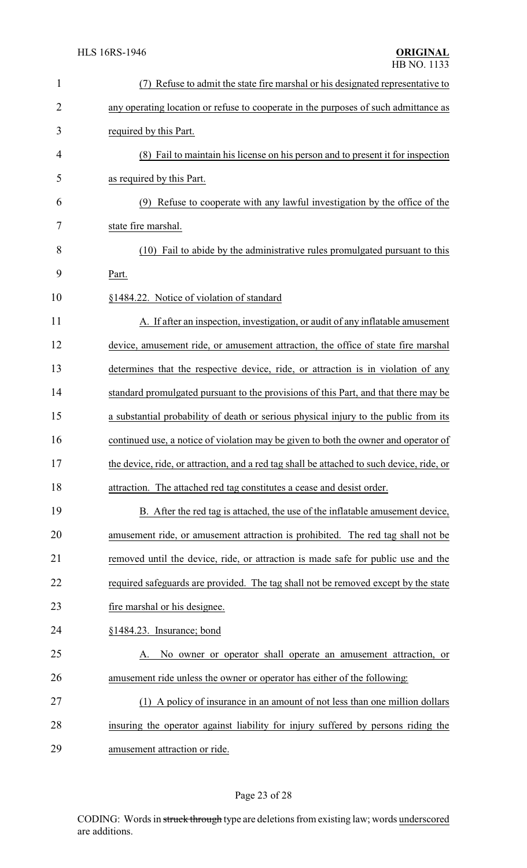| $\mathbf{1}$ | Refuse to admit the state fire marshal or his designated representative to                |
|--------------|-------------------------------------------------------------------------------------------|
| 2            | any operating location or refuse to cooperate in the purposes of such admittance as       |
| 3            | required by this Part.                                                                    |
| 4            | (8) Fail to maintain his license on his person and to present it for inspection           |
| 5            | as required by this Part.                                                                 |
| 6            | Refuse to cooperate with any lawful investigation by the office of the                    |
| 7            | state fire marshal.                                                                       |
| 8            | (10) Fail to abide by the administrative rules promulgated pursuant to this               |
| 9            | Part.                                                                                     |
| 10           | §1484.22. Notice of violation of standard                                                 |
| 11           | A. If after an inspection, investigation, or audit of any inflatable amusement            |
| 12           | device, amusement ride, or amusement attraction, the office of state fire marshal         |
| 13           | determines that the respective device, ride, or attraction is in violation of any         |
| 14           | standard promulgated pursuant to the provisions of this Part, and that there may be       |
| 15           | a substantial probability of death or serious physical injury to the public from its      |
| 16           | continued use, a notice of violation may be given to both the owner and operator of       |
| 17           | the device, ride, or attraction, and a red tag shall be attached to such device, ride, or |
| 18           | attraction. The attached red tag constitutes a cease and desist order.                    |
| 19           | B. After the red tag is attached, the use of the inflatable amusement device,             |
| 20           | amusement ride, or amusement attraction is prohibited. The red tag shall not be           |
| 21           | removed until the device, ride, or attraction is made safe for public use and the         |
| 22           | required safeguards are provided. The tag shall not be removed except by the state        |
| 23           | fire marshal or his designee.                                                             |
| 24           | §1484.23. Insurance; bond                                                                 |
| 25           | No owner or operator shall operate an amusement attraction, or                            |
| 26           | amusement ride unless the owner or operator has either of the following:                  |
| 27           | (1) A policy of insurance in an amount of not less than one million dollars               |
| 28           | insuring the operator against liability for injury suffered by persons riding the         |
| 29           | amusement attraction or ride.                                                             |

# Page 23 of 28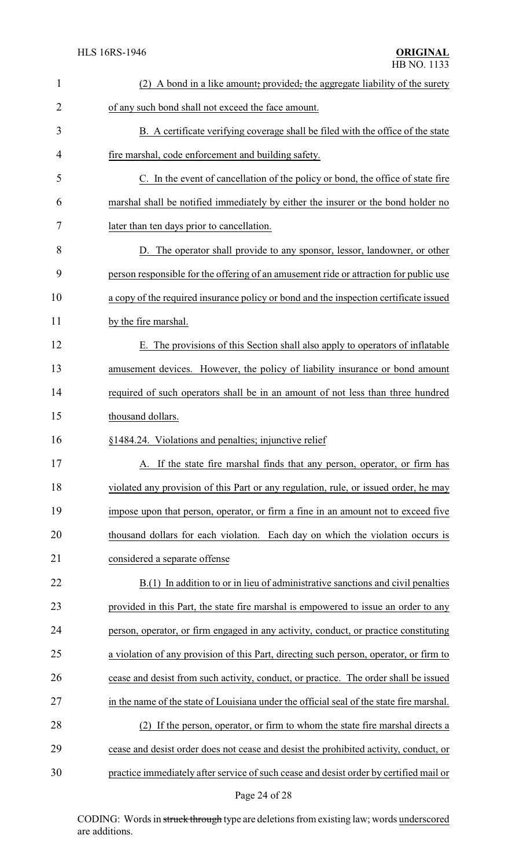| $\mathbf{1}$   | (2) A bond in a like amount, provided, the aggregate liability of the surety             |
|----------------|------------------------------------------------------------------------------------------|
| $\overline{2}$ | of any such bond shall not exceed the face amount.                                       |
| 3              | B. A certificate verifying coverage shall be filed with the office of the state          |
| $\overline{4}$ | fire marshal, code enforcement and building safety.                                      |
| 5              | C. In the event of cancellation of the policy or bond, the office of state fire          |
| 6              | marshal shall be notified immediately by either the insurer or the bond holder no        |
| 7              | later than ten days prior to cancellation.                                               |
| 8              | D. The operator shall provide to any sponsor, lessor, landowner, or other                |
| 9              | person responsible for the offering of an amusement ride or attraction for public use    |
| 10             | a copy of the required insurance policy or bond and the inspection certificate issued    |
| 11             | by the fire marshal.                                                                     |
| 12             | E. The provisions of this Section shall also apply to operators of inflatable            |
| 13             | amusement devices. However, the policy of liability insurance or bond amount             |
| 14             | required of such operators shall be in an amount of not less than three hundred          |
| 15             | thousand dollars.                                                                        |
| 16             | §1484.24. Violations and penalties; injunctive relief                                    |
| 17             | A. If the state fire marshal finds that any person, operator, or firm has                |
| 18             | violated any provision of this Part or any regulation, rule, or issued order, he may     |
| 19             | impose upon that person, operator, or firm a fine in an amount not to exceed five        |
| 20             | thousand dollars for each violation. Each day on which the violation occurs is           |
| 21             | considered a separate offense                                                            |
| 22             | B.(1) In addition to or in lieu of administrative sanctions and civil penalties          |
| 23             | provided in this Part, the state fire marshal is empowered to issue an order to any      |
| 24             | person, operator, or firm engaged in any activity, conduct, or practice constituting     |
| 25             | a violation of any provision of this Part, directing such person, operator, or firm to   |
| 26             | cease and desist from such activity, conduct, or practice. The order shall be issued     |
| 27             | in the name of the state of Louisiana under the official seal of the state fire marshal. |
| 28             | (2) If the person, operator, or firm to whom the state fire marshal directs a            |
| 29             | cease and desist order does not cease and desist the prohibited activity, conduct, or    |
| 30             | practice immediately after service of such cease and desist order by certified mail or   |
|                |                                                                                          |

# Page 24 of 28

CODING: Words in struck through type are deletions from existing law; words underscored are additions.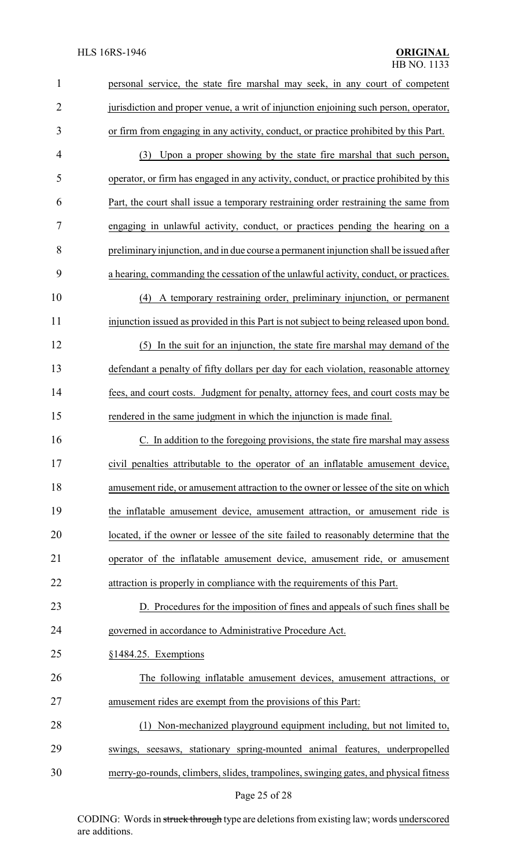| $\mathbf{1}$   | personal service, the state fire marshal may seek, in any court of competent           |  |
|----------------|----------------------------------------------------------------------------------------|--|
| $\overline{c}$ | jurisdiction and proper venue, a writ of injunction enjoining such person, operator,   |  |
| 3              | or firm from engaging in any activity, conduct, or practice prohibited by this Part.   |  |
| 4              | (3) Upon a proper showing by the state fire marshal that such person,                  |  |
| 5              | operator, or firm has engaged in any activity, conduct, or practice prohibited by this |  |
| 6              | Part, the court shall issue a temporary restraining order restraining the same from    |  |
| 7              | engaging in unlawful activity, conduct, or practices pending the hearing on a          |  |
| 8              | preliminary injunction, and in due course a permanent injunction shall be issued after |  |
| 9              | a hearing, commanding the cessation of the unlawful activity, conduct, or practices.   |  |
| 10             | (4) A temporary restraining order, preliminary injunction, or permanent                |  |
| 11             | injunction issued as provided in this Part is not subject to being released upon bond. |  |
| 12             | In the suit for an injunction, the state fire marshal may demand of the<br>(5)         |  |
| 13             | defendant a penalty of fifty dollars per day for each violation, reasonable attorney   |  |
| 14             | fees, and court costs. Judgment for penalty, attorney fees, and court costs may be     |  |
| 15             | rendered in the same judgment in which the injunction is made final.                   |  |
| 16             | C. In addition to the foregoing provisions, the state fire marshal may assess          |  |
| 17             | civil penalties attributable to the operator of an inflatable amusement device,        |  |
| 18             | amusement ride, or amusement attraction to the owner or lessee of the site on which    |  |
| 19             | the inflatable amusement device, amusement attraction, or amusement ride is            |  |
| 20             | located, if the owner or lessee of the site failed to reasonably determine that the    |  |
| 21             | operator of the inflatable amusement device, amusement ride, or amusement              |  |
| 22             | attraction is properly in compliance with the requirements of this Part.               |  |
| 23             | D. Procedures for the imposition of fines and appeals of such fines shall be           |  |
| 24             | governed in accordance to Administrative Procedure Act.                                |  |
| 25             | §1484.25. Exemptions                                                                   |  |
| 26             | The following inflatable amusement devices, amusement attractions, or                  |  |
| 27             | amusement rides are exempt from the provisions of this Part:                           |  |
| 28             | Non-mechanized playground equipment including, but not limited to,<br>(1)              |  |
| 29             | swings, seesaws, stationary spring-mounted animal features, underpropelled             |  |
| 30             | merry-go-rounds, climbers, slides, trampolines, swinging gates, and physical fitness   |  |

# Page 25 of 28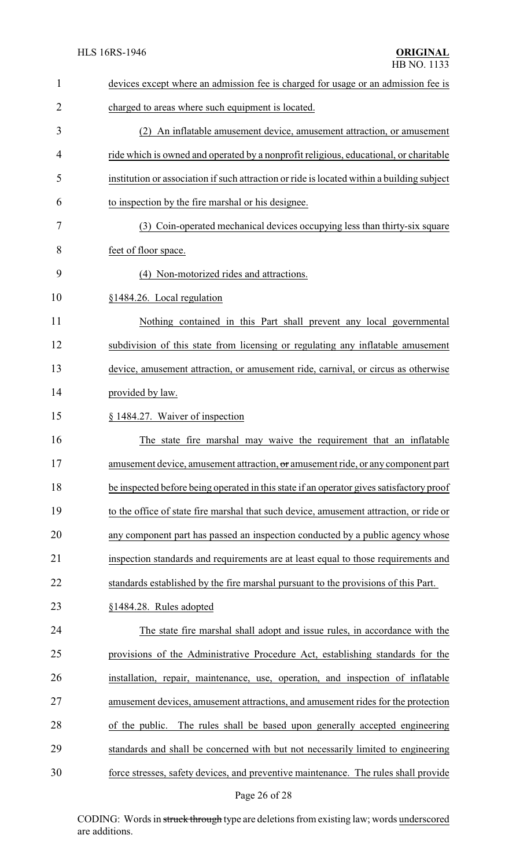| $\mathbf{1}$   | devices except where an admission fee is charged for usage or an admission fee is          |
|----------------|--------------------------------------------------------------------------------------------|
| $\overline{2}$ | charged to areas where such equipment is located.                                          |
| 3              | (2) An inflatable amusement device, amusement attraction, or amusement                     |
| 4              | ride which is owned and operated by a nonprofit religious, educational, or charitable      |
| 5              | institution or association if such attraction or ride is located within a building subject |
| 6              | to inspection by the fire marshal or his designee.                                         |
| 7              | (3) Coin-operated mechanical devices occupying less than thirty-six square                 |
| 8              | feet of floor space.                                                                       |
| 9              | (4) Non-motorized rides and attractions.                                                   |
| 10             | §1484.26. Local regulation                                                                 |
| 11             | Nothing contained in this Part shall prevent any local governmental                        |
| 12             | subdivision of this state from licensing or regulating any inflatable amusement            |
| 13             | device, amusement attraction, or amusement ride, carnival, or circus as otherwise          |
| 14             | provided by law.                                                                           |
| 15             | § 1484.27. Waiver of inspection                                                            |
| 16             | The state fire marshal may waive the requirement that an inflatable                        |
| 17             | amusement device, amusement attraction, or amusement ride, or any component part           |
| 18             | be inspected before being operated in this state if an operator gives satisfactory proof   |
| 19             | to the office of state fire marshal that such device, amusement attraction, or ride or     |
| 20             | any component part has passed an inspection conducted by a public agency whose             |
| 21             | inspection standards and requirements are at least equal to those requirements and         |
| 22             | standards established by the fire marshal pursuant to the provisions of this Part.         |
| 23             | §1484.28. Rules adopted                                                                    |
| 24             | The state fire marshal shall adopt and issue rules, in accordance with the                 |
| 25             | provisions of the Administrative Procedure Act, establishing standards for the             |
| 26             | installation, repair, maintenance, use, operation, and inspection of inflatable            |
| 27             | amusement devices, amusement attractions, and amusement rides for the protection           |
| 28             | The rules shall be based upon generally accepted engineering<br>of the public.             |
| 29             | standards and shall be concerned with but not necessarily limited to engineering           |
| 30             | force stresses, safety devices, and preventive maintenance. The rules shall provide        |
|                |                                                                                            |

# Page 26 of 28

CODING: Words in struck through type are deletions from existing law; words underscored are additions.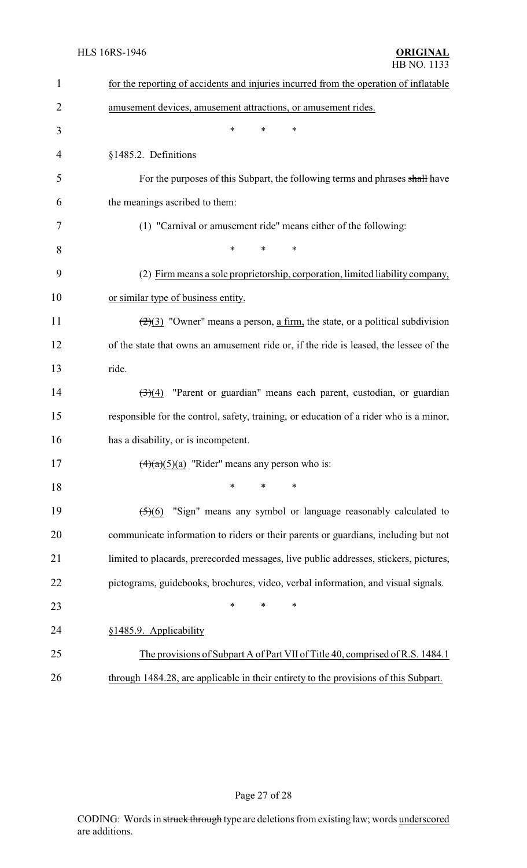| 1  | for the reporting of accidents and injuries incurred from the operation of inflatable            |  |  |
|----|--------------------------------------------------------------------------------------------------|--|--|
| 2  | amusement devices, amusement attractions, or amusement rides.                                    |  |  |
| 3  | *<br>*<br>∗                                                                                      |  |  |
| 4  | §1485.2. Definitions                                                                             |  |  |
| 5  | For the purposes of this Subpart, the following terms and phrases shall have                     |  |  |
| 6  | the meanings ascribed to them:                                                                   |  |  |
| 7  | (1) "Carnival or amusement ride" means either of the following:                                  |  |  |
| 8  | *<br>∗<br>*                                                                                      |  |  |
| 9  | (2) Firm means a sole proprietorship, corporation, limited liability company,                    |  |  |
| 10 | or similar type of business entity.                                                              |  |  |
| 11 | $\left(\frac{2}{2}\right)$ "Owner" means a person, a firm, the state, or a political subdivision |  |  |
| 12 | of the state that owns an amusement ride or, if the ride is leased, the lessee of the            |  |  |
| 13 | ride.                                                                                            |  |  |
| 14 | "Parent or guardian" means each parent, custodian, or guardian<br>$\left(3\right)(4)$            |  |  |
| 15 | responsible for the control, safety, training, or education of a rider who is a minor,           |  |  |
| 16 | has a disability, or is incompetent.                                                             |  |  |
| 17 | $\frac{4}{2}(a)(5)(a)$ "Rider" means any person who is:                                          |  |  |
| 18 | $\ast$<br>*<br>*                                                                                 |  |  |
| 19 | "Sign" means any symbol or language reasonably calculated to<br>(5)(6)                           |  |  |
| 20 | communicate information to riders or their parents or guardians, including but not               |  |  |
| 21 | limited to placards, prerecorded messages, live public addresses, stickers, pictures,            |  |  |
| 22 | pictograms, guidebooks, brochures, video, verbal information, and visual signals.                |  |  |
| 23 | *<br>∗                                                                                           |  |  |
| 24 | §1485.9. Applicability                                                                           |  |  |
| 25 | The provisions of Subpart A of Part VII of Title 40, comprised of R.S. 1484.1                    |  |  |
| 26 | through 1484.28, are applicable in their entirety to the provisions of this Subpart.             |  |  |